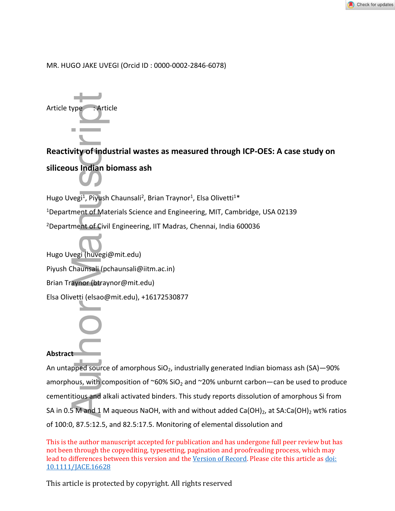

## MR. HUGO JAKE UVEGI (Orcid ID : 0000-0002-2846-6078)



**Reactivity of industrial wastes as measured through ICP-OES: A case study on siliceous Indian biomass ash**

Hugo Uvegi<sup>1</sup>, Piyush Chaunsali<sup>2</sup>, Brian Traynor<sup>1</sup>, Elsa Olivetti<sup>1\*</sup>

<sup>1</sup>Department of Materials Science and Engineering, MIT, Cambridge, USA 02139

<sup>2</sup>Department of Civil Engineering, IIT Madras, Chennai, India 600036

Hugo Uvegi (huvegi@mit.edu)

Piyush Chaunsali (pchaunsali@iitm.ac.in)

Brian Traynor (btraynor@mit.edu)

Elsa Olivetti (elsao@mit.edu), +16172530877

# **Abstract**

An untapped source of amorphous  $SiO<sub>2</sub>$ , industrially generated Indian biomass ash (SA) –90% amorphous, with composition of  $\sim 60\%$  SiO<sub>2</sub> and  $\sim 20\%$  unburnt carbon—can be used to produce cementitious and alkali activated binders. This study reports dissolution of amorphous Si from SA in 0.5 M and 1 M aqueous NaOH, with and without added Ca(OH)<sub>2</sub>, at SA:Ca(OH)<sub>2</sub> wt% ratios Article type<br> **Reactivity of industrial wastes as measured the Siliceous Indian biomass ash**<br>
Hugo Uvegi<sup>1</sup>, Piyush Chaunsali<sup>2</sup>, Brian Traynor<sup>1</sup>, Elsa Ol<br>
<sup>1</sup>Department of Materials Science and Engineering, MI<br>
<sup>2</sup>Depart of 100:0, 87.5:12.5, and 82.5:17.5. Monitoring of elemental dissolution and

This is the author manuscript accepted for publication and has undergone full peer review but has not been through the copyediting, typesetting, pagination and proofreading process, which may lead to differences between this version and the Version of Record. Please cite this article as doi: 10.1111/JACE.16628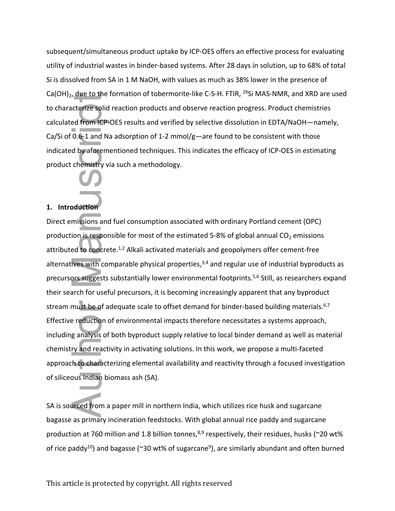subsequent/simultaneous product uptake by ICP-OES offers an effective process for evaluating utility of industrial wastes in binder-based systems. After 28 days in solution, up to 68% of total Si is dissolved from SA in 1 M NaOH, with values as much as 38% lower in the presence of Ca(OH)<sub>2</sub>, due to the formation of tobermorite-like C-S-H. FTIR, <sup>29</sup>Si MAS-NMR, and XRD are used to characterize solid reaction products and observe reaction progress. Product chemistries calculated from ICP-OES results and verified by selective dissolution in EDTA/NaOH—namely, Ca/Si of  $0.6$ -1 and Na adsorption of 1-2 mmol/g-are found to be consistent with those indicated by aforementioned techniques. This indicates the efficacy of ICP-OES in estimating product chemistry via such a methodology.

### **1. Introduction**

Direct emissions and fuel consumption associated with ordinary Portland cement (OPC) production is responsible for most of the estimated 5-8% of global annual  $CO<sub>2</sub>$  emissions attributed to concrete.1,2 Alkali activated materials and geopolymers offer cement-free alternatives with comparable physical properties, $3,4$  and regular use of industrial byproducts as precursors suggests substantially lower environmental footprints.5,6 Still, as researchers expand their search for useful precursors, it is becoming increasingly apparent that any byproduct stream must be of adequate scale to offset demand for binder-based building materials.<sup>6,7</sup> Effective reduction of environmental impacts therefore necessitates a systems approach, including analysis of both byproduct supply relative to local binder demand as well as material chemistry and reactivity in activating solutions. In this work, we propose a multi-faceted approach to characterizing elemental availability and reactivity through a focused investigation of siliceous Indian biomass ash (SA). Autorize solid<br>
ed from ICP-<br>
0.6-1 and N<br>
d by aforem<br>
chemistry v<br>
bduction<br>
missions and<br>
ion is resported to concre<br>
ives with contre<br>
ives with contre<br>
ives with contre<br>
ives with contre<br>
ives with contre<br>
g analysis

SA is sourced from a paper mill in northern India, which utilizes rice husk and sugarcane bagasse as primary incineration feedstocks. With global annual rice paddy and sugarcane production at 760 million and 1.8 billion tonnes,  $8,9$  respectively, their residues, husks (~20 wt% of rice paddy<sup>10</sup>) and bagasse (~30 wt% of sugarcane<sup>9</sup>), are similarly abundant and often burned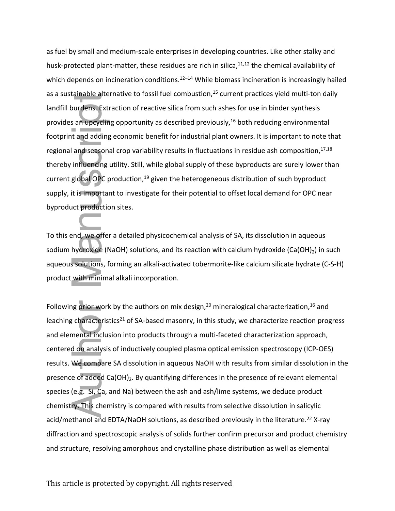as fuel by small and medium-scale enterprises in developing countries. Like other stalky and husk-protected plant-matter, these residues are rich in silica, $11,12$  the chemical availability of which depends on incineration conditions.<sup>12–14</sup> While biomass incineration is increasingly hailed as a sustainable alternative to fossil fuel combustion,<sup>15</sup> current practices yield multi-ton daily landfill burdens. Extraction of reactive silica from such ashes for use in binder synthesis provides an upcycling opportunity as described previously,<sup>16</sup> both reducing environmental footprint and adding economic benefit for industrial plant owners. It is important to note that regional and seasonal crop variability results in fluctuations in residue ash composition,  $17,18$ thereby influencing utility. Still, while global supply of these byproducts are surely lower than current global OPC production,<sup>19</sup> given the heterogeneous distribution of such byproduct supply, it is important to investigate for their potential to offset local demand for OPC near byproduct production sites.

To this end, we offer a detailed physicochemical analysis of SA, its dissolution in aqueous sodium hydroxide (NaOH) solutions, and its reaction with calcium hydroxide (Ca(OH) $_2$ ) in such aqueous solutions, forming an alkali-activated tobermorite-like calcium silicate hydrate (C-S-H) product with minimal alkali incorporation.

Following prior work by the authors on mix design,  $20$  mineralogical characterization,  $16$  and leaching characteristics<sup>21</sup> of SA-based masonry, in this study, we characterize reaction progress and elemental inclusion into products through a multi-faceted characterization approach, centered on analysis of inductively coupled plasma optical emission spectroscopy (ICP-OES) results. We compare SA dissolution in aqueous NaOH with results from similar dissolution in the presence of added  $Ca(OH)_{2}$ . By quantifying differences in the presence of relevant elemental species (e.g. Si, Ca, and Na) between the ash and ash/lime systems, we deduce product chemistry. This chemistry is compared with results from selective dissolution in salicylic acid/methanol and EDTA/NaOH solutions, as described previously in the literature.<sup>22</sup> X-ray diffraction and spectroscopic analysis of solids further confirm precursor and product chemistry as a ustainance guerraneous of costs from the structure of phase distribution and the bunders. Extraction of recalitor from such as the bunder synteps is provides an upperling opportunity as described previously.<sup>16</sup> both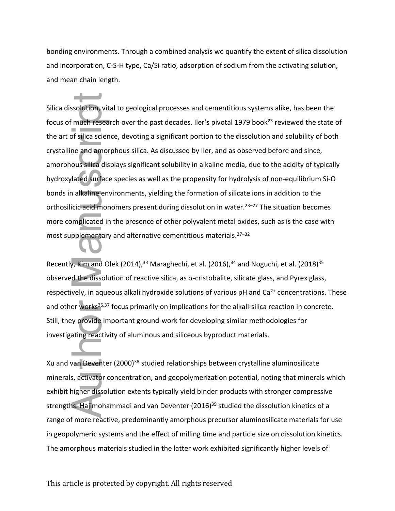bonding environments. Through a combined analysis we quantify the extent of silica dissolution and incorporation, C-S-H type, Ca/Si ratio, adsorption of sodium from the activating solution, and mean chain length.

Silica dissolution, vital to geological processes and cementitious systems alike, has been the focus of much research over the past decades. Iler's pivotal 1979 book<sup>23</sup> reviewed the state of the art of silica science, devoting a significant portion to the dissolution and solubility of both crystalline and amorphous silica. As discussed by Iler, and as observed before and since, amorphous silica displays significant solubility in alkaline media, due to the acidity of typically hydroxylated surface species as well as the propensity for hydrolysis of non-equilibrium Si-O bonds in alkaline environments, yielding the formation of silicate ions in addition to the orthosilicic acid monomers present during dissolution in water.<sup>23–27</sup> The situation becomes more complicated in the presence of other polyvalent metal oxides, such as is the case with most supplementary and alternative cementitious materials.27–32 Silica dissolution, vital to geological processes and cementitious systems alike, has been the<br>focus of much research over the past decades. Iler's pivotal 1979 book<sup>23</sup> reviewed the stat<br>the art of silica science, devotin

Recently, Kim and Olek (2014),<sup>33</sup> Maraghechi, et al. (2016),<sup>34</sup> and Noguchi, et al. (2018)<sup>35</sup> observed the dissolution of reactive silica, as  $\alpha$ -cristobalite, silicate glass, and Pyrex glass, respectively, in aqueous alkali hydroxide solutions of various pH and  $Ca<sup>2+</sup>$  concentrations. These and other works<sup>36,37</sup> focus primarily on implications for the alkali-silica reaction in concrete. Still, they provide important ground-work for developing similar methodologies for investigating reactivity of aluminous and siliceous byproduct materials.

Xu and van Deventer (2000)<sup>38</sup> studied relationships between crystalline aluminosilicate minerals, activator concentration, and geopolymerization potential, noting that minerals which exhibit higher dissolution extents typically yield binder products with stronger compressive strengths. Hajimohammadi and van Deventer (2016)<sup>39</sup> studied the dissolution kinetics of a range of more reactive, predominantly amorphous precursor aluminosilicate materials for use in geopolymeric systems and the effect of milling time and particle size on dissolution kinetics.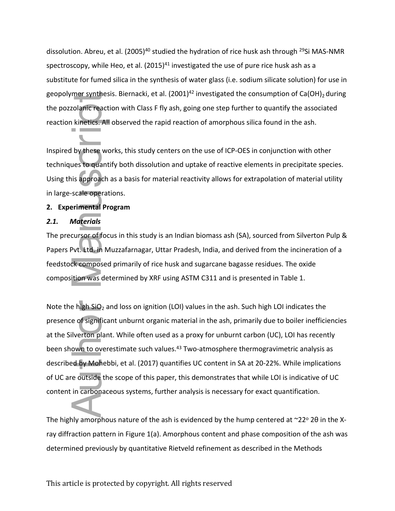dissolution. Abreu, et al. (2005)<sup>40</sup> studied the hydration of rice husk ash through <sup>29</sup>Si MAS-NMR spectroscopy, while Heo, et al.  $(2015)^{41}$  investigated the use of pure rice husk ash as a substitute for fumed silica in the synthesis of water glass (i.e. sodium silicate solution) for use in geopolymer synthesis. Biernacki, et al. (2001)<sup>42</sup> investigated the consumption of Ca(OH)<sub>2</sub> during the pozzolanic reaction with Class F fly ash, going one step further to quantify the associated reaction kinetics. All observed the rapid reaction of amorphous silica found in the ash.

Inspired by these works, this study centers on the use of ICP-OES in conjunction with other techniques to quantify both dissolution and uptake of reactive elements in precipitate species. Using this approach as a basis for material reactivity allows for extrapolation of material utility in large-scale operations.

## **2. Experimental Program**

## *2.1. Materials*

The precursor of focus in this study is an Indian biomass ash (SA), sourced from Silverton Pulp & Papers Pvt. Ltd. in Muzzafarnagar, Uttar Pradesh, India, and derived from the incineration of a feedstock composed primarily of rice husk and sugarcane bagasse residues. The oxide composition was determined by XRF using ASTM C311 and is presented in Table 1.

Note the high SiO<sub>2</sub> and loss on ignition (LOI) values in the ash. Such high LOI indicates the presence of significant unburnt organic material in the ash, primarily due to boiler inefficiencies at the Silverton plant. While often used as a proxy for unburnt carbon (UC), LOI has recently been shown to overestimate such values.<sup>43</sup> Two-atmosphere thermogravimetric analysis as described by Mohebbi, et al. (2017) quantifies UC content in SA at 20-22%. While implications of UC are outside the scope of this paper, this demonstrates that while LOI is indicative of UC content in carbonaceous systems, further analysis is necessary for exact quantification. Beopolyticar synthesis. Berniacki, et al. (2001)<sup>2</sup> investigated the consumption or Ca(OH)<sup>2</sup><br>the posciolant reaction with Class F fly ash, going one step further to quantify the associated by these works, this study cente

The highly amorphous nature of the ash is evidenced by the hump centered at  $\sim$ 22° 20 in the Xray diffraction pattern in Figure 1(a). Amorphous content and phase composition of the ash was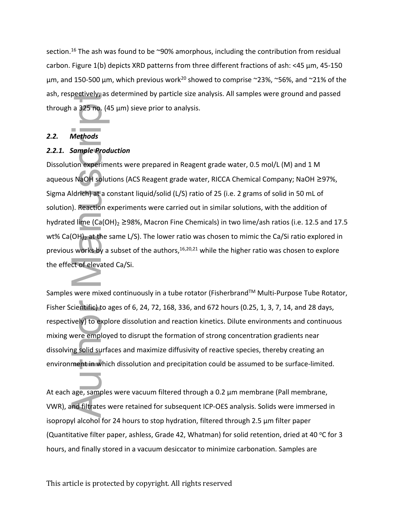section.<sup>16</sup> The ash was found to be  $\sim$ 90% amorphous, including the contribution from residual carbon. Figure 1(b) depicts XRD patterns from three different fractions of ash: <45 μm, 45-150 μm, and 150-500 μm, which previous work<sup>20</sup> showed to comprise ~23%, ~56%, and ~21% of the ash, respectively, as determined by particle size analysis. All samples were ground and passed through a 325 no. (45 μm) sieve prior to analysis.

## *2.2. Methods*

### *2.2.1. Sample Production*

Dissolution experiments were prepared in Reagent grade water, 0.5 mol/L (M) and 1 M aqueous NaOH solutions (ACS Reagent grade water, RICCA Chemical Company; NaOH ≥97%, Sigma Aldrich) at a constant liquid/solid (L/S) ratio of 25 (i.e. 2 grams of solid in 50 mL of solution). Reaction experiments were carried out in similar solutions, with the addition of hydrated lime (Ca(OH)<sub>2</sub> ≥98%, Macron Fine Chemicals) in two lime/ash ratios (i.e. 12.5 and 17.5 wt% Ca(OH)<sub>2</sub> at the same L/S). The lower ratio was chosen to mimic the Ca/Si ratio explored in previous works by a subset of the authors,  $16,20,21$  while the higher ratio was chosen to explore the effect of elevated Ca/Si. ash, respectively, as betermined by particle size analysis. All samples were ground and<br>through a 325 mo<sub>u</sub> (45 µm) sieve prior to analysis.<br>
2.2.1. Sample Production<br>
2.2.1. Sample Production<br>
Dissolution experiments were

Samples were mixed continuously in a tube rotator (Fisherbrand™ Multi-Purpose Tube Rotator, Fisher Scientific) to ages of 6, 24, 72, 168, 336, and 672 hours (0.25, 1, 3, 7, 14, and 28 days, respectively) to explore dissolution and reaction kinetics. Dilute environments and continuous mixing were employed to disrupt the formation of strong concentration gradients near dissolving solid surfaces and maximize diffusivity of reactive species, thereby creating an environment in which dissolution and precipitation could be assumed to be surface-limited.

At each age, samples were vacuum filtered through a 0.2 μm membrane (Pall membrane, VWR), and filtrates were retained for subsequent ICP-OES analysis. Solids were immersed in isopropyl alcohol for 24 hours to stop hydration, filtered through 2.5 μm filter paper (Quantitative filter paper, ashless, Grade 42, Whatman) for solid retention, dried at 40 °C for 3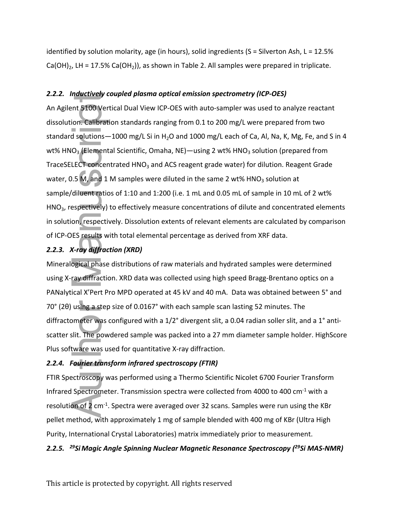identified by solution molarity, age (in hours), solid ingredients (S = Silverton Ash, L = 12.5% Ca(OH)<sub>2</sub>, LH = 17.5% Ca(OH<sub>2</sub>)), as shown in Table 2. All samples were prepared in triplicate.

## *2.2.2. Inductively coupled plasma optical emission spectrometry (ICP-OES)*

An Agilent 5100 Vertical Dual View ICP-OES with auto-sampler was used to analyze reactant dissolution. Calibration standards ranging from 0.1 to 200 mg/L were prepared from two standard solutions  $-1000$  mg/L Si in H<sub>2</sub>O and 1000 mg/L each of Ca, Al, Na, K, Mg, Fe, and S in 4 wt% HNO<sub>3</sub> (Elemental Scientific, Omaha, NE)—using 2 wt% HNO<sub>3</sub> solution (prepared from TraceSELECT concentrated HNO<sub>3</sub> and ACS reagent grade water) for dilution. Reagent Grade water, 0.5 M, and 1 M samples were diluted in the same 2 wt%  $HNO<sub>3</sub>$  solution at sample/diluent ratios of 1:10 and 1:200 (i.e. 1 mL and 0.05 mL of sample in 10 mL of 2 wt% HNO<sub>3</sub>, respectively) to effectively measure concentrations of dilute and concentrated elements in solution, respectively. Dissolution extents of relevant elements are calculated by comparison of ICP-OES results with total elemental percentage as derived from XRF data. 2.2.2. *Inductiong Youpies plasmate optical* energies and the sample vents as used to analyze reactant<br>An Agilein 3200Vertical Dual View ICP-OES with auto-sample was used to analyze reactant<br>dissolution: Calibration standa

## *2.2.3. X-ray diffraction (XRD)*

Mineralogical phase distributions of raw materials and hydrated samples were determined using X-ray diffraction. XRD data was collected using high speed Bragg-Brentano optics on a PANalytical X'Pert Pro MPD operated at 45 kV and 40 mA. Data was obtained between 5° and 70° (2θ) using a step size of 0.0167° with each sample scan lasting 52 minutes. The diffractometer was configured with a 1/2° divergent slit, a 0.04 radian soller slit, and a 1° antiscatter slit. The powdered sample was packed into a 27 mm diameter sample holder. HighScore Plus software was used for quantitative X-ray diffraction.

## *2.2.4. Fourier transform infrared spectroscopy (FTIR)*

FTIR Spectroscopy was performed using a Thermo Scientific Nicolet 6700 Fourier Transform Infrared Spectrometer. Transmission spectra were collected from 4000 to 400 cm-1 with a resolution of 2 cm-1. Spectra were averaged over 32 scans. Samples were run using the KBr pellet method, with approximately 1 mg of sample blended with 400 mg of KBr (Ultra High Purity, International Crystal Laboratories) matrix immediately prior to measurement.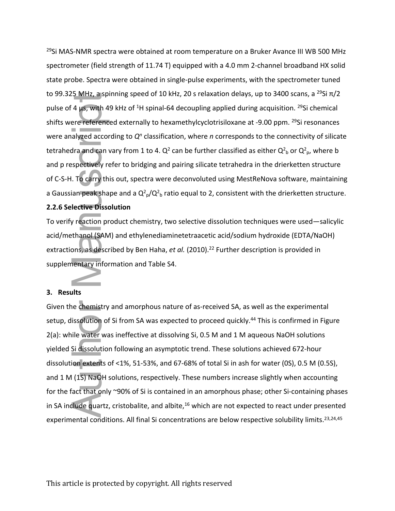<sup>29</sup>Si MAS-NMR spectra were obtained at room temperature on a Bruker Avance III WB 500 MHz spectrometer (field strength of 11.74 T) equipped with a 4.0 mm 2-channel broadband HX solid state probe. Spectra were obtained in single-pulse experiments, with the spectrometer tuned to 99.325 MHz, a spinning speed of 10 kHz, 20 s relaxation delays, up to 3400 scans, a <sup>29</sup>Si  $\pi/2$ pulse of 4  $\mu$ s, with 49 kHz of <sup>1</sup>H spinal-64 decoupling applied during acquisition. <sup>29</sup>Si chemical shifts were referenced externally to hexamethylcyclotrisiloxane at -9.00 ppm. <sup>29</sup>Si resonances were analyzed according to  $Q<sup>n</sup>$  classification, where *n* corresponds to the connectivity of silicate tetrahedra and can vary from 1 to 4.  $Q^2$  can be further classified as either  $Q^2$ <sub>b</sub> or  $Q^2$ <sub>p</sub>, where b and p respectively refer to bridging and pairing silicate tetrahedra in the drierketten structure of C-S-H. To carry this out, spectra were deconvoluted using MestReNova software, maintaining a Gaussian peak shape and a  $Q^2{}_{p}/Q^2{}_{b}$  ratio equal to 2, consistent with the drierketten structure.

## **2.2.6 Selective Dissolution**

To verify reaction product chemistry, two selective dissolution techniques were used—salicylic acid/methanol (SAM) and ethylenediaminetetraacetic acid/sodium hydroxide (EDTA/NaOH) extractions, as described by Ben Haha, *et al.* (2010).<sup>22</sup> Further description is provided in supplementary information and Table S4.

### **3. Results**

Given the chemistry and amorphous nature of as-received SA, as well as the experimental setup, dissolution of Si from SA was expected to proceed quickly.<sup>44</sup> This is confirmed in Figure 2(a): while water was ineffective at dissolving Si, 0.5 M and 1 M aqueous NaOH solutions yielded Si dissolution following an asymptotic trend. These solutions achieved 672-hour dissolution extents of <1%, 51-53%, and 67-68% of total Si in ash for water (0S), 0.5 M (0.5S), and 1 M (1S) NaOH solutions, respectively. These numbers increase slightly when accounting for the fact that only ~90% of Si is contained in an amorphous phase; other Si-containing phases in SA include quartz, cristobalite, and albite,<sup>16</sup> which are not expected to react under presented to 99.32 Mirz, a spinning speed of 10 kHz, 20 s relaxation delays, up to 3400 scarls, a "-s<br>uplies of 4 μgs. With 49 kHz of <sup>14</sup>H spinal-64 decoupling applied during acquisition. <sup>25</sup>Si chem<br>shifts were referenced externa experimental conditions. All final Si concentrations are below respective solubility limits.<sup>23,24,45</sup>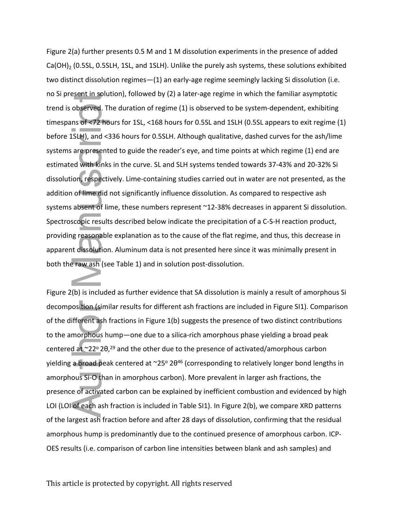Figure 2(a) further presents 0.5 M and 1 M dissolution experiments in the presence of added Ca(OH)<sub>2</sub> (0.5SL, 0.5SLH, 1SL, and 1SLH). Unlike the purely ash systems, these solutions exhibited two distinct dissolution regimes—(1) an early-age regime seemingly lacking Si dissolution (i.e. no Si present in solution), followed by (2) a later-age regime in which the familiar asymptotic trend is observed. The duration of regime (1) is observed to be system-dependent, exhibiting timespans of <72 hours for 1SL, <168 hours for 0.5SL and 1SLH (0.5SL appears to exit regime (1) before 1SLH), and <336 hours for 0.5SLH. Although qualitative, dashed curves for the ash/lime systems are presented to guide the reader's eye, and time points at which regime (1) end are estimated with kinks in the curve. SL and SLH systems tended towards 37-43% and 20-32% Si dissolution, respectively. Lime-containing studies carried out in water are not presented, as the addition of lime did not significantly influence dissolution. As compared to respective ash systems absent of lime, these numbers represent ~12-38% decreases in apparent Si dissolution. Spectroscopic results described below indicate the precipitation of a C-S-H reaction product, providing reasonable explanation as to the cause of the flat regime, and thus, this decrease in apparent dissolution. Aluminum data is not presented here since it was minimally present in both the raw ash (see Table 1) and in solution post-dissolution. or Super Than Southeast (1) to between that SA disolution, control the system of consideration of carporation of carporation of carbon and the system of carbon line intensities term of carbon line interactions and the syst

Figure 2(b) is included as further evidence that SA dissolution is mainly a result of amorphous Si decomposition (similar results for different ash fractions are included in Figure SI1). Comparison of the different ash fractions in Figure 1(b) suggests the presence of two distinct contributions to the amorphous hump—one due to a silica-rich amorphous phase yielding a broad peak centered at  $\sim$ 22° 20,<sup>29</sup> and the other due to the presence of activated/amorphous carbon yielding a broad peak centered at ~25° 20<sup>46</sup> (corresponding to relatively longer bond lengths in amorphous Si-O than in amorphous carbon). More prevalent in larger ash fractions, the presence of activated carbon can be explained by inefficient combustion and evidenced by high LOI (LOI of each ash fraction is included in Table SI1). In Figure 2(b), we compare XRD patterns of the largest ash fraction before and after 28 days of dissolution, confirming that the residual amorphous hump is predominantly due to the continued presence of amorphous carbon. ICP-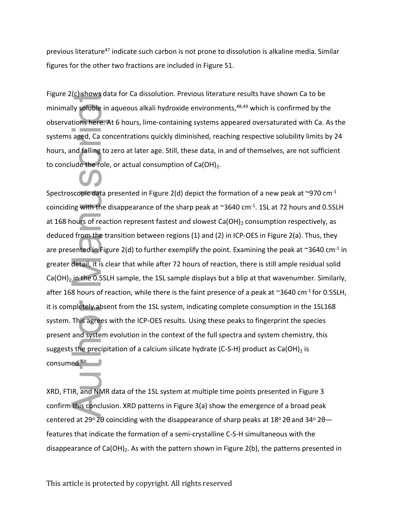previous literature<sup>47</sup> indicate such carbon is not prone to dissolution is alkaline media. Similar figures for the other two fractions are included in Figure S1.

Figure 2(c) shows data for Ca dissolution. Previous literature results have shown Ca to be minimally soluble in aqueous alkali hydroxide environments,<sup>48,49</sup> which is confirmed by the observations here. At 6 hours, lime-containing systems appeared oversaturated with Ca. As the systems aged, Ca concentrations quickly diminished, reaching respective solubility limits by 24 hours, and falling to zero at later age. Still, these data, in and of themselves, are not sufficient to conclude the role, or actual consumption of  $Ca(OH)_{2}$ .

Spectroscopic data presented in Figure 2(d) depict the formation of a new peak at  $\sim$ 970 cm $^{-1}$ coinciding with the disappearance of the sharp peak at  $\sim$ 3640 cm<sup>-1</sup>. 1SL at 72 hours and 0.5SLH at 168 hours of reaction represent fastest and slowest Ca(OH)<sub>2</sub> consumption respectively, as deduced from the transition between regions (1) and (2) in ICP-OES in Figure 2(a). Thus, they are presented in Figure 2(d) to further exemplify the point. Examining the peak at  $\sim$ 3640 cm<sup>-1</sup> in greater detail, it is clear that while after 72 hours of reaction, there is still ample residual solid  $Ca(OH)_2$  in the 0.5SLH sample, the 1SL sample displays but a blip at that wavenumber. Similarly, after 168 hours of reaction, while there is the faint presence of a peak at  $\sim$ 3640 cm<sup>-1</sup> for 0.5SLH, it is completely absent from the 1SL system, indicating complete consumption in the 1SL168 system. This agrees with the ICP-OES results. Using these peaks to fingerprint the species present and system evolution in the context of the full spectra and system chemistry, this suggests the precipitation of a calcium silicate hydrate (C-S-H) product as  $Ca(OH)$ <sub>2</sub> is consumed.<sup>50</sup> rigure 2(i) strows diator ca dissountion. Previous interacture results have shown tall to be minimally synthetic and<br>conservations here. At a hours, lime-containing systems appeared oversistrated with Ca. As the<br>systems ag

XRD, FTIR, and NMR data of the 1SL system at multiple time points presented in Figure 3 confirm this conclusion. XRD patterns in Figure 3(a) show the emergence of a broad peak centered at 29 $\degree$ 20 coinciding with the disappearance of sharp peaks at 18 $\degree$ 20 and 34 $\degree$ 20features that indicate the formation of a semi-crystalline C-S-H simultaneous with the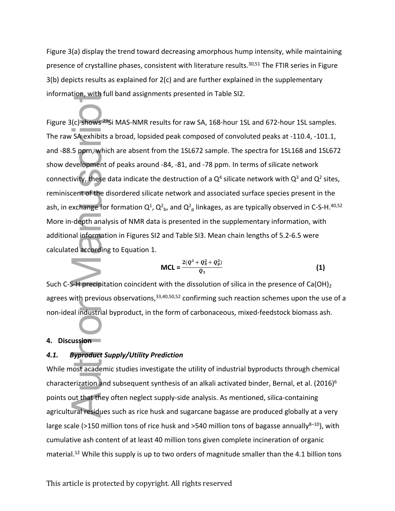Figure 3(a) display the trend toward decreasing amorphous hump intensity, while maintaining presence of crystalline phases, consistent with literature results.<sup>30,51</sup> The FTIR series in Figure 3(b) depicts results as explained for 2(c) and are further explained in the supplementary information, with full band assignments presented in Table SI2.

Figure 3(c) shows <sup>29</sup>Si MAS-NMR results for raw SA, 168-hour 1SL and 672-hour 1SL samples. The raw SA exhibits a broad, lopsided peak composed of convoluted peaks at -110.4, -101.1, and -88.5 ppm, which are absent from the 1SL672 sample. The spectra for 1SL168 and 1SL672 show development of peaks around -84, -81, and -78 ppm. In terms of silicate network connectivity, these data indicate the destruction of a  $Q^4$  silicate network with  $Q^3$  and  $Q^2$  sites, reminiscent of the disordered silicate network and associated surface species present in the ash, in exchange for formation  $Q^1$ ,  $Q^2$ <sub>b</sub>, and  $Q^2$ <sub>p</sub> linkages, as are typically observed in C-S-H.<sup>40,52</sup> More in-depth analysis of NMR data is presented in the supplementary information, with additional information in Figures SI2 and Table SI3. Mean chain lengths of 5.2-6.5 were calculated according to Equation 1. miormation, with this supply meths presented in 1408 512.<br>
Figure 3(c) shows <sup>an</sup>Si MAS-SNNR results for raw SA, 168-hour 15L and 672-hour 15L samples.<br>
The raw SA exhibits a broad, lopsided peak composed of convoluted pe

$$
MCL = \frac{2(Q^1 + Q_b^2 + Q_p^2)}{Q_1}
$$
 (1)

Such C-S-H precipitation coincident with the dissolution of silica in the presence of Ca(OH)<sub>2</sub> agrees with previous observations,  $33,40,50,52$  confirming such reaction schemes upon the use of a non-ideal industrial byproduct, in the form of carbonaceous, mixed-feedstock biomass ash.

#### **4. Discussion**

## *4.1. Byproduct Supply/Utility Prediction*

While most academic studies investigate the utility of industrial byproducts through chemical characterization and subsequent synthesis of an alkali activated binder, Bernal, et al. (2016)<sup>6</sup> points out that they often neglect supply-side analysis. As mentioned, silica-containing agricultural residues such as rice husk and sugarcane bagasse are produced globally at a very large scale (>150 million tons of rice husk and >540 million tons of bagasse annually $8-10$ ), with cumulative ash content of at least 40 million tons given complete incineration of organic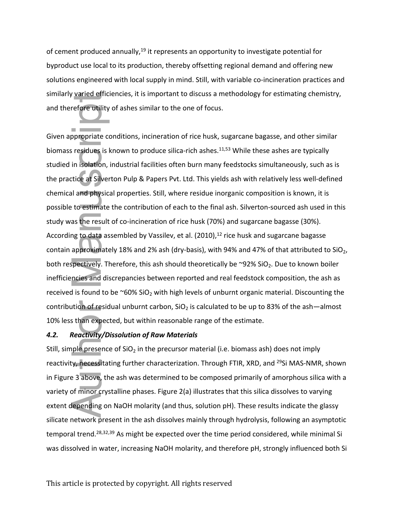of cement produced annually,<sup>19</sup> it represents an opportunity to investigate potential for byproduct use local to its production, thereby offsetting regional demand and offering new solutions engineered with local supply in mind. Still, with variable co-incineration practices and similarly varied efficiencies, it is important to discuss a methodology for estimating chemistry, and therefore utility of ashes similar to the one of focus.

Given appropriate conditions, incineration of rice husk, sugarcane bagasse, and other similar biomass residues is known to produce silica-rich ashes.<sup>11,53</sup> While these ashes are typically studied in isolation, industrial facilities often burn many feedstocks simultaneously, such as is the practice at Silverton Pulp & Papers Pvt. Ltd. This yields ash with relatively less well-defined chemical and physical properties. Still, where residue inorganic composition is known, it is possible to estimate the contribution of each to the final ash. Silverton-sourced ash used in this study was the result of co-incineration of rice husk (70%) and sugarcane bagasse (30%). According to data assembled by Vassilev, et al.  $(2010)$ ,<sup>12</sup> rice husk and sugarcane bagasse contain approximately 18% and 2% ash (dry-basis), with 94% and 47% of that attributed to SiO<sub>2</sub>, both respectively. Therefore, this ash should theoretically be  $\sim$ 92% SiO<sub>2</sub>. Due to known boiler inefficiencies and discrepancies between reported and real feedstock composition, the ash as received is found to be  $\sim 60\%$  SiO<sub>2</sub> with high levels of unburnt organic material. Discounting the contribution of residual unburnt carbon,  $SiO<sub>2</sub>$  is calculated to be up to 83% of the ash—almost 10% less than expected, but within reasonable range of the estimate. similarly varian equitations, it is important to oscuss a metrodototy for estimating coemistry,<br>and therefore origity of ashes similar to the one of focus.<br>
Given appropriate conditions, incineration of rice husk, sugarcan

#### *4.2. Reactivity/Dissolution of Raw Materials*

Still, simple presence of  $SiO<sub>2</sub>$  in the precursor material (i.e. biomass ash) does not imply reactivity, necessitating further characterization. Through FTIR, XRD, and <sup>29</sup>Si MAS-NMR, shown in Figure 3 above, the ash was determined to be composed primarily of amorphous silica with a variety of minor crystalline phases. Figure 2(a) illustrates that this silica dissolves to varying extent depending on NaOH molarity (and thus, solution pH). These results indicate the glassy silicate network present in the ash dissolves mainly through hydrolysis, following an asymptotic temporal trend.<sup>28,32,39</sup> As might be expected over the time period considered, while minimal Si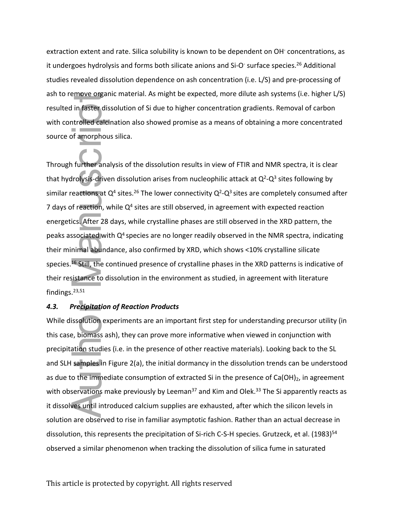extraction extent and rate. Silica solubility is known to be dependent on OH<sup>-</sup> concentrations, as it undergoes hydrolysis and forms both silicate anions and Si-O<sup>-</sup> surface species.<sup>26</sup> Additional studies revealed dissolution dependence on ash concentration (i.e. L/S) and pre-processing of ash to remove organic material. As might be expected, more dilute ash systems (i.e. higher L/S) resulted in faster dissolution of Si due to higher concentration gradients. Removal of carbon with controlled calcination also showed promise as a means of obtaining a more concentrated source of amorphous silica.

Through further analysis of the dissolution results in view of FTIR and NMR spectra, it is clear that hydrolysis-driven dissolution arises from nucleophilic attack at  $Q^2-Q^3$  sites following by similar reactions at  $Q^4$  sites.<sup>26</sup> The lower connectivity  $Q^2$ - $Q^3$  sites are completely consumed after 7 days of reaction, while  $Q<sup>4</sup>$  sites are still observed, in agreement with expected reaction energetics. After 28 days, while crystalline phases are still observed in the XRD pattern, the peaks associated with  $Q<sup>4</sup>$  species are no longer readily observed in the NMR spectra, indicating their minimal abundance, also confirmed by XRD, which shows <10% crystalline silicate species.<sup>16</sup> Still, the continued presence of crystalline phases in the XRD patterns is indicative of their resistance to dissolution in the environment as studied, in agreement with literature findings.23,51 ass to remove organic material. As might be expected, more dinute ass systems (i.e. might<br>resulted in fastsolution of Si due to higher concentration gradients. Removal of carb<br>with controlled calefination also showed promi

## *4.3. Precipitation of Reaction Products*

While dissolution experiments are an important first step for understanding precursor utility (in this case, biomass ash), they can prove more informative when viewed in conjunction with precipitation studies (i.e. in the presence of other reactive materials). Looking back to the SL and SLH samples in Figure 2(a), the initial dormancy in the dissolution trends can be understood as due to the immediate consumption of extracted Si in the presence of  $Ca(OH)_2$ , in agreement with observations make previously by Leeman<sup>37</sup> and Kim and Olek.<sup>33</sup> The Si apparently reacts as it dissolves until introduced calcium supplies are exhausted, after which the silicon levels in solution are observed to rise in familiar asymptotic fashion. Rather than an actual decrease in dissolution, this represents the precipitation of Si-rich C-S-H species. Grutzeck, et al. (1983)<sup>54</sup>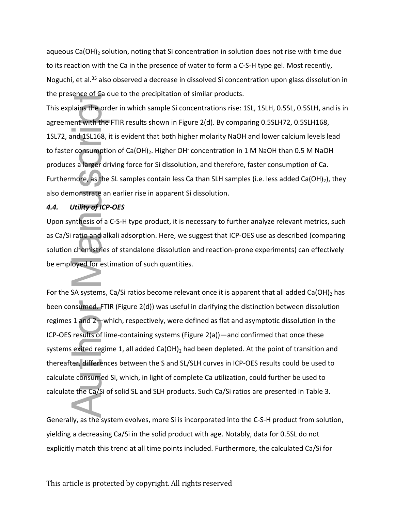aqueous Ca(OH)<sub>2</sub> solution, noting that Si concentration in solution does not rise with time due to its reaction with the Ca in the presence of water to form a C-S-H type gel. Most recently, Noguchi, et al.<sup>35</sup> also observed a decrease in dissolved Si concentration upon glass dissolution in the presence of Ca due to the precipitation of similar products.

This explains the order in which sample Si concentrations rise: 1SL, 1SLH, 0.5SL, 0.5SLH, and is in agreement with the FTIR results shown in Figure 2(d). By comparing 0.5SLH72, 0.5SLH168, 1SL72, and 1SL168, it is evident that both higher molarity NaOH and lower calcium levels lead to faster consumption of  $Ca(OH)_2$ . Higher OH concentration in 1 M NaOH than 0.5 M NaOH produces a larger driving force for Si dissolution, and therefore, faster consumption of Ca. Furthermore, as the SL samples contain less Ca than SLH samples (i.e. less added Ca(OH)<sub>2</sub>), they also demonstrate an earlier rise in apparent Si dissolution.

## *4.4. Utility of ICP-OES*

Upon synthesis of a C-S-H type product, it is necessary to further analyze relevant metrics, such as Ca/Si ratio and alkali adsorption. Here, we suggest that ICP-OES use as described (comparing solution chemistries of standalone dissolution and reaction-prone experiments) can effectively be employed for estimation of such quantities.

For the SA systems, Ca/Si ratios become relevant once it is apparent that all added Ca(OH)<sub>2</sub> has been consumed. FTIR (Figure 2(d)) was useful in clarifying the distinction between dissolution regimes 1 and 2—which, respectively, were defined as flat and asymptotic dissolution in the ICP-OES results of lime-containing systems (Figure 2(a))—and confirmed that once these systems exited regime 1, all added Ca(OH)<sub>2</sub> had been depleted. At the point of transition and thereafter, differences between the S and SL/SLH curves in ICP-OES results could be used to calculate consumed Si, which, in light of complete Ca utilization, could further be used to calculate the Ca/Si of solid SL and SLH products. Such Ca/Si ratios are presented in Table 3. explicitly match this term in the predict in this control of simulation of simulations in Signetian and at all time explicit at all time explicit at all time explicit at all time explicit at all time and at all time and at

Generally, as the system evolves, more Si is incorporated into the C-S-H product from solution, yielding a decreasing Ca/Si in the solid product with age. Notably, data for 0.5SL do not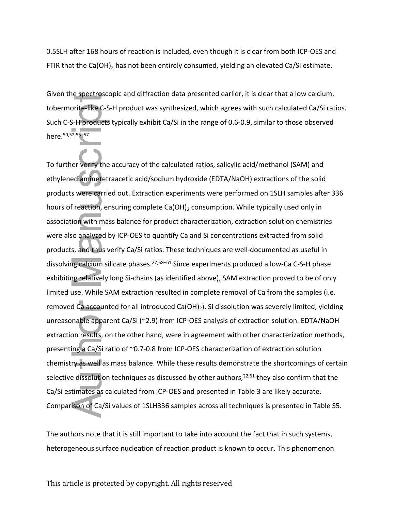0.5SLH after 168 hours of reaction is included, even though it is clear from both ICP-OES and FTIR that the Ca(OH)<sub>2</sub> has not been entirely consumed, yielding an elevated Ca/Si estimate.

Given the spectroscopic and diffraction data presented earlier, it is clear that a low calcium, tobermorite-like C-S-H product was synthesized, which agrees with such calculated Ca/Si ratios. Such C-S-H products typically exhibit Ca/Si in the range of 0.6-0.9, similar to those observed here.50,52,55–57

To further verify the accuracy of the calculated ratios, salicylic acid/methanol (SAM) and ethylenediaminetetraacetic acid/sodium hydroxide (EDTA/NaOH) extractions of the solid products were carried out. Extraction experiments were performed on 1SLH samples after 336 hours of reaction, ensuring complete Ca(OH)<sub>2</sub> consumption. While typically used only in association with mass balance for product characterization, extraction solution chemistries were also analyzed by ICP-OES to quantify Ca and Si concentrations extracted from solid products, and thus verify Ca/Si ratios. These techniques are well-documented as useful in dissolving calcium silicate phases.<sup>22,58–61</sup> Since experiments produced a low-Ca C-S-H phase exhibiting relatively long Si-chains (as identified above), SAM extraction proved to be of only limited use. While SAM extraction resulted in complete removal of Ca from the samples (i.e. removed Ca accounted for all introduced Ca(OH)<sub>2</sub>), Si dissolution was severely limited, yielding unreasonable apparent Ca/Si (~2.9) from ICP-OES analysis of extraction solution. EDTA/NaOH extraction results, on the other hand, were in agreement with other characterization methods, presenting a Ca/Si ratio of ~0.7-0.8 from ICP-OES characterization of extraction solution chemistry as well as mass balance. While these results demonstrate the shortcomings of certain selective dissolution techniques as discussed by other authors, $22,61$  they also confirm that the Ca/Si estimates as calculated from ICP-OES and presented in Table 3 are likely accurate. Comparison of Ca/Si values of 1SLH336 samples across all techniques is presented in Table S5. diven the spectroscopic and direction data presented earlier, it is clear trait a low calculing<br>tobermorite "Rec. S-H product was synthesized, which agrees with such calculated Ca/Si rat<br>here.<sup>surga</sup>neous Surface is typica

The authors note that it is still important to take into account the fact that in such systems,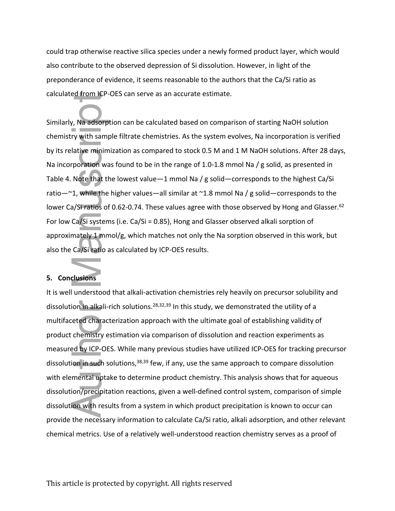could trap otherwise reactive silica species under a newly formed product layer, which would also contribute to the observed depression of Si dissolution. However, in light of the preponderance of evidence, it seems reasonable to the authors that the Ca/Si ratio as calculated from ICP-OES can serve as an accurate estimate.

Similarly, Na adsorption can be calculated based on comparison of starting NaOH solution chemistry with sample filtrate chemistries. As the system evolves, Na incorporation is verified by its relative minimization as compared to stock 0.5 M and 1 M NaOH solutions. After 28 days, Na incorporation was found to be in the range of 1.0-1.8 mmol Na / g solid, as presented in Table 4. Note that the lowest value—1 mmol Na / g solid—corresponds to the highest Ca/Si ratio—~1, while the higher values—all similar at ~1.8 mmol Na / g solid—corresponds to the lower Ca/Si ratios of 0.62-0.74. These values agree with those observed by Hong and Glasser.<sup>62</sup> For low Ca/Si systems (i.e. Ca/Si = 0.85), Hong and Glasser observed alkali sorption of approximately 1 mmol/g, which matches not only the Na sorption observed in this work, but also the Ca/Si ratio as calculated by ICP-OES results.

## **5. Conclusions**

It is well understood that alkali-activation chemistries rely heavily on precursor solubility and dissolution in alkali-rich solutions.<sup>28,32,39</sup> In this study, we demonstrated the utility of a multifaceted characterization approach with the ultimate goal of establishing validity of product chemistry estimation via comparison of dissolution and reaction experiments as measured by ICP-OES. While many previous studies have utilized ICP-OES for tracking precursor dissolution in such solutions,<sup>38,39</sup> few, if any, use the same approach to compare dissolution with elemental uptake to determine product chemistry. This analysis shows that for aqueous dissolution/precipitation reactions, given a well-defined control system, comparison of simple dissolution with results from a system in which product precipitation is known to occur can provide the necessary information to calculate Ca/Si ratio, alkali adsorption, and other relevant calculated from ty-ot-s can serve as an acturate esumate.<br>Similarly, Na adsorption can be calculated based on comparison of starting NaOH solution<br>chemistry with sample filtrate chemistrics. As the system evolves, Na incor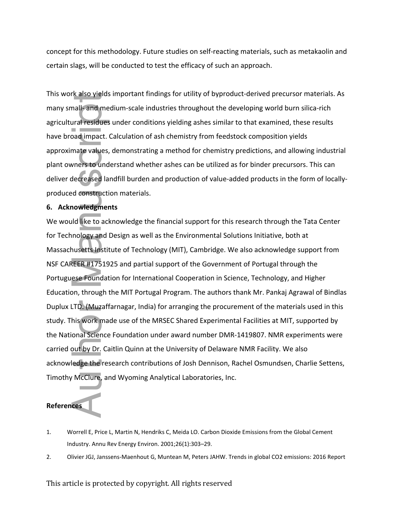concept for this methodology. Future studies on self-reacting materials, such as metakaolin and certain slags, will be conducted to test the efficacy of such an approach.

This work also yields important findings for utility of byproduct-derived precursor materials. As many small- and medium-scale industries throughout the developing world burn silica-rich agricultural residues under conditions yielding ashes similar to that examined, these results have broad impact. Calculation of ash chemistry from feedstock composition yields approximate values, demonstrating a method for chemistry predictions, and allowing industrial plant owners to understand whether ashes can be utilized as for binder precursors. This can deliver decreased landfill burden and production of value-added products in the form of locallyproduced construction materials.

## **6. Acknowledgments**

We would like to acknowledge the financial support for this research through the Tata Center for Technology and Design as well as the Environmental Solutions Initiative, both at Massachusetts Institute of Technology (MIT), Cambridge. We also acknowledge support from NSF CAREER #1751925 and partial support of the Government of Portugal through the Portuguese Foundation for International Cooperation in Science, Technology, and Higher Education, through the MIT Portugal Program. The authors thank Mr. Pankaj Agrawal of Bindlas Duplux LTD. (Muzaffarnagar, India) for arranging the procurement of the materials used in this study. This work made use of the MRSEC Shared Experimental Facilities at MIT, supported by the National Science Foundation under award number DMR-1419807. NMR experiments were carried out by Dr. Caitlin Quinn at the University of Delaware NMR Facility. We also acknowledge the research contributions of Josh Dennison, Rachel Osmundsen, Charlie Settens, Timothy McClure, and Wyoming Analytical Laboratories, Inc. This work also well in the matter in the magnism trional Content predictions and the diversion matter and the matter of the state in a matterial content and production and productions with the developing world lines at the

# **References**

- 1. Worrell E, Price L, Martin N, Hendriks C, Meida LO. Carbon Dioxide Emissions from the Global Cement Industry. Annu Rev Energy Environ. 2001;26(1):303–29.
-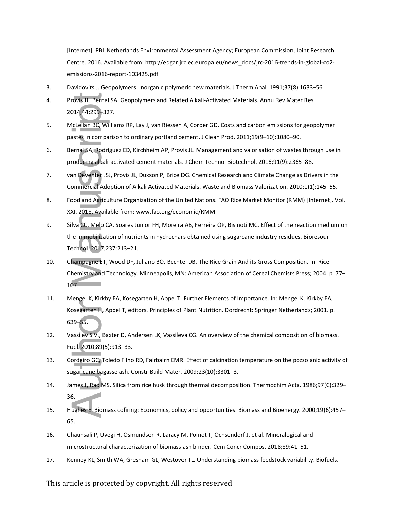[Internet]. PBL Netherlands Environmental Assessment Agency; European Commission, Joint Research Centre. 2016. Available from: http://edgar.jrc.ec.europa.eu/news\_docs/jrc-2016-trends-in-global-co2 emissions-2016-report-103425.pdf

- 3. Davidovits J. Geopolymers: Inorganic polymeric new materials. J Therm Anal. 1991;37(8):1633–56.
- 4. Provis JL, Bernal SA. Geopolymers and Related Alkali-Activated Materials. Annu Rev Mater Res. 2014;44:299–327.
- 5. McLellan BC, Williams RP, Lay J, van Riessen A, Corder GD. Costs and carbon emissions for geopolymer pastes in comparison to ordinary portland cement. J Clean Prod. 2011;19(9–10):1080–90.
- 6. Bernal SA, Rodríguez ED, Kirchheim AP, Provis JL. Management and valorisation of wastes through use in producing alkali-activated cement materials. J Chem Technol Biotechnol. 2016;91(9):2365–88.
- 7. van Deventer JSJ, Provis JL, Duxson P, Brice DG. Chemical Research and Climate Change as Drivers in the Commercial Adoption of Alkali Activated Materials. Waste and Biomass Valorization. 2010;1(1):145–55.
- 8. Food and Agriculture Organization of the United Nations. FAO Rice Market Monitor (RMM) [Internet]. Vol. XXI. 2018. Available from: www.fao.org/economic/RMM
- 9. Silva CC, Melo CA, Soares Junior FH, Moreira AB, Ferreira OP, Bisinoti MC. Effect of the reaction medium on the immobilization of nutrients in hydrochars obtained using sugarcane industry residues. Bioresour Technol. 2017;237:213–21. 17. Provins Jt. Bermal SA. Geopolymers and Related Alkali Activated Materials. Annu Rev Mater Res.<br>
17. Metalam Rev Wikims RP, Lay J, van Riessen A, Corder GD. Costs and carbon emissions for geopolymer<br>
17. Metalam Rev Wik
- 10. Champagne ET, Wood DF, Juliano BO, Bechtel DB. The Rice Grain And its Gross Composition. In: Rice Chemistry and Technology. Minneapolis, MN: American Association of Cereal Chemists Press; 2004. p. 77– 107.
- 11. Mengel K, Kirkby EA, Kosegarten H, Appel T. Further Elements of Importance. In: Mengel K, Kirkby EA, Kosegarten H, Appel T, editors. Principles of Plant Nutrition. Dordrecht: Springer Netherlands; 2001. p. 639–55.
- 12. Vassilev S V., Baxter D, Andersen LK, Vassileva CG. An overview of the chemical composition of biomass. Fuel. 2010;89(5):913–33.
- 13. Cordeiro GC, Toledo Filho RD, Fairbairn EMR. Effect of calcination temperature on the pozzolanic activity of sugar cane bagasse ash. Constr Build Mater. 2009;23(10):3301–3.
- 14. James J, Rao MS. Silica from rice husk through thermal decomposition. Thermochim Acta. 1986;97(C):329– 36.
- 15. Hughes E. Biomass cofiring: Economics, policy and opportunities. Biomass and Bioenergy. 2000;19(6):457– 65.
- 16. Chaunsali P, Uvegi H, Osmundsen R, Laracy M, Poinot T, Ochsendorf J, et al. Mineralogical and microstructural characterization of biomass ash binder. Cem Concr Compos. 2018;89:41–51.
-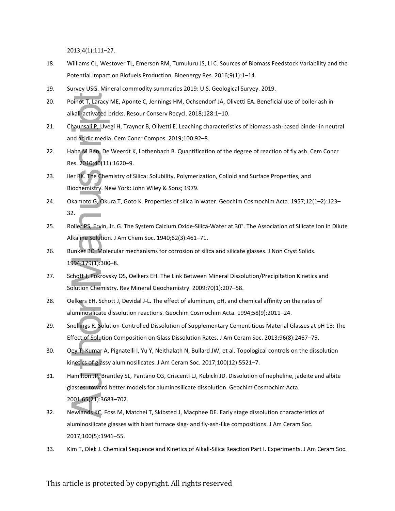2013;4(1):111–27.

- 18. Williams CL, Westover TL, Emerson RM, Tumuluru JS, Li C. Sources of Biomass Feedstock Variability and the Potential Impact on Biofuels Production. Bioenergy Res. 2016;9(1):1–14.
- 19. Survey USG. Mineral commodity summaries 2019: U.S. Geological Survey. 2019.
- 20. Poinot T, Laracy ME, Aponte C, Jennings HM, Ochsendorf JA, Olivetti EA. Beneficial use of boiler ash in alkali-activated bricks. Resour Conserv Recycl. 2018;128:1–10.
- 21. Chaunsali P, Uvegi H, Traynor B, Olivetti E. Leaching characteristics of biomass ash-based binder in neutral and acidic media. Cem Concr Compos. 2019;100:92–8.
- 22. Haha M Ben, De Weerdt K, Lothenbach B. Quantification of the degree of reaction of fly ash. Cem Concr Res. 2010;40(11):1620–9.
- 23. Iler RK. The Chemistry of Silica: Solubility, Polymerization, Colloid and Surface Properties, and Biochemistry. New York: John Wiley & Sons; 1979.
- 24. Okamoto G, Okura T, Goto K. Properties of silica in water. Geochim Cosmochim Acta. 1957;12(1–2):123– 32.
- 25. Roller PS, Ervin, Jr. G. The System Calcium Oxide-Silica-Water at 30°. The Association of Silicate Ion in Dilute Alkaline Solution. J Am Chem Soc. 1940;62(3):461–71.
- 26. Bunker BC. Molecular mechanisms for corrosion of silica and silicate glasses. J Non Cryst Solids. 1994;179(1):300–8.
- 27. Schott J, Pokrovsky OS, Oelkers EH. The Link Between Mineral Dissolution/Precipitation Kinetics and Solution Chemistry. Rev Mineral Geochemistry. 2009;70(1):207–58.
- 28. Oelkers EH, Schott J, Devidal J-L. The effect of aluminum, pH, and chemical affinity on the rates of aluminosilicate dissolution reactions. Geochim Cosmochim Acta. 1994;58(9):2011–24.
- 29. Snellings R. Solution-Controlled Dissolution of Supplementary Cementitious Material Glasses at pH 13: The Effect of Solution Composition on Glass Dissolution Rates. J Am Ceram Soc. 2013;96(8):2467–75.
- 30. Oey T, Kumar A, Pignatelli I, Yu Y, Neithalath N, Bullard JW, et al. Topological controls on the dissolution kinetics of glassy aluminosilicates. J Am Ceram Soc. 2017;100(12):5521–7.
- 31. Hamilton JP, Brantley SL, Pantano CG, Criscenti LJ, Kubicki JD. Dissolution of nepheline, jadeite and albite glasses: toward better models for aluminosilicate dissolution. Geochim Cosmochim Acta. 2001;65(21):3683–702. 20. Pointrat J. Chemical Section Consentor (A) Chemical Section Section and Microscopies and Alectics of Alectics of Alectics of Alectics of Alectics of Alectics of Alectics of Alectics of Alectics of Alectics of Alectics
- 32. Newlands KC, Foss M, Matchei T, Skibsted J, Macphee DE. Early stage dissolution characteristics of aluminosilicate glasses with blast furnace slag- and fly-ash-like compositions. J Am Ceram Soc. 2017;100(5):1941–55.
-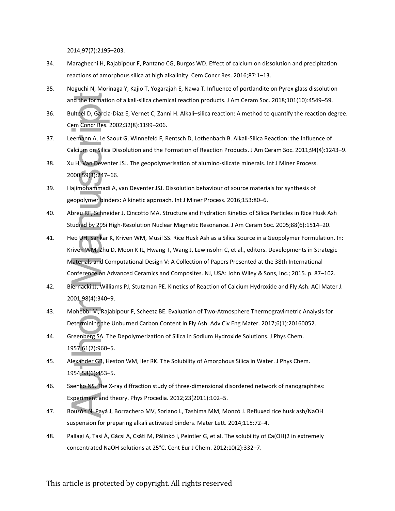2014;97(7):2195–203.

- 34. Maraghechi H, Rajabipour F, Pantano CG, Burgos WD. Effect of calcium on dissolution and precipitation reactions of amorphous silica at high alkalinity. Cem Concr Res. 2016;87:1–13.
- 35. Noguchi N, Morinaga Y, Kajio T, Yogarajah E, Nawa T. Influence of portlandite on Pyrex glass dissolution and the formation of alkali-silica chemical reaction products. J Am Ceram Soc. 2018;101(10):4549–59.
- 36. Bulteel D, Garcia-Diaz E, Vernet C, Zanni H. Alkali–silica reaction: A method to quantify the reaction degree. Cem Concr Res. 2002;32(8):1199–206.
- 37. Leemann A, Le Saout G, Winnefeld F, Rentsch D, Lothenbach B. Alkali-Silica Reaction: the Influence of Calcium on Silica Dissolution and the Formation of Reaction Products. J Am Ceram Soc. 2011;94(4):1243–9.
- 38. Xu H, Van Deventer JSJ. The geopolymerisation of alumino-silicate minerals. Int J Miner Process. 2000;59(3):247–66.
- 39. Hajimohammadi A, van Deventer JSJ. Dissolution behaviour of source materials for synthesis of geopolymer binders: A kinetic approach. Int J Miner Process. 2016;153:80–6.
- 40. Abreu RF, Schneider J, Cincotto MA. Structure and Hydration Kinetics of Silica Particles in Rice Husk Ash Studied by 29Si High-Resolution Nuclear Magnetic Resonance. J Am Ceram Soc. 2005;88(6):1514–20.
- 41. Heo UH, Sankar K, Kriven WM, Musil SS. Rice Husk Ash as a Silica Source in a Geopolymer Formulation. In: Kriven WM, Zhu D, Moon K IL, Hwang T, Wang J, Lewinsohn C, et al., editors. Developments in Strategic Materials and Computational Design V: A Collection of Papers Presented at the 38th International Conference on Advanced Ceramics and Composites. NJ, USA: John Wiley & Sons, Inc.; 2015. p. 87–102. and the formation of alkali-silica chemical reaction products. J Am Ceram S<br>Bulteel D, Garcia-Diaz E, Vernet C, Zanni H. Alkali–silica reaction: A method<br>Cem Concr Res. 2002:32(8):1199–206.<br>Celemann A, Le Saout G, Winnefel
- 42. Biernacki JJ, Williams PJ, Stutzman PE. Kinetics of Reaction of Calcium Hydroxide and Fly Ash. ACI Mater J. 2001;98(4):340–9.
- 43. Mohebbi M, Rajabipour F, Scheetz BE. Evaluation of Two-Atmosphere Thermogravimetric Analysis for Determining the Unburned Carbon Content in Fly Ash. Adv Civ Eng Mater. 2017;6(1):20160052.
- 44. Greenberg SA. The Depolymerization of Silica in Sodium Hydroxide Solutions. J Phys Chem. 1957;61(7):960–5.
- 45. Alexander GB, Heston WM, Iler RK. The Solubility of Amorphous Silica in Water. J Phys Chem. 1954;58(6):453–5.
- 46. Saenko NS. The X-ray diffraction study of three-dimensional disordered network of nanographites: Experiment and theory. Phys Procedia. 2012;23(2011):102–5.
- 47. Bouzón N, Payá J, Borrachero MV, Soriano L, Tashima MM, Monzó J. Refluxed rice husk ash/NaOH suspension for preparing alkali activated binders. Mater Lett. 2014;115:72–4.
- 48. Pallagi A, Tasi Á, Gácsi A, Csáti M, Pálinkó I, Peintler G, et al. The solubility of Ca(OH)2 in extremely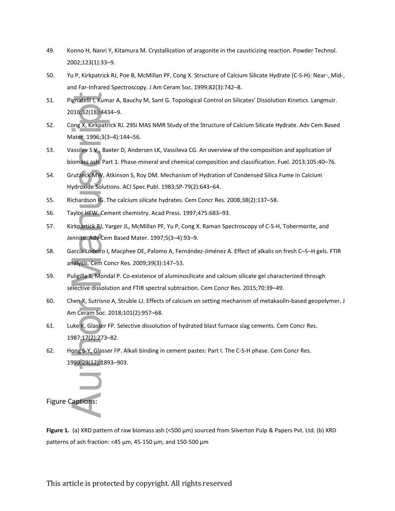- 49. Konno H, Nanri Y, Kitamura M. Crystallization of aragonite in the causticizing reaction. Powder Technol. 2002;123(1):33–9.
- 50. Yu P, Kirkpatrick RJ, Poe B, McMillan PF, Cong X. Structure of Calcium Silicate Hydrate (C-S-H): Near-, Mid-, and Far-Infrared Spectroscopy. J Am Ceram Soc. 1999;82(3):742–8.
- 51. Pignatelli I, Kumar A, Bauchy M, Sant G. Topological Control on Silicates' Dissolution Kinetics. Langmuir. 2016;32(18):4434–9.
- 52. Cong X, Kirkpatrick RJ. 29Si MAS NMR Study of the Structure of Calcium Silicate Hydrate. Adv Cem Based Mater. 1996;3(3–4):144–56.
- 53. Vassilev S V., Baxter D, Andersen LK, Vassileva CG. An overview of the composition and application of biomass ash. Part 1. Phase-mineral and chemical composition and classification. Fuel. 2013;105:40–76.
- 54. Grutzeck MW, Atkinson S, Roy DM. Mechanism of Hydration of Condensed Silica Fume in Calcium Hydroxide Solutions. ACI Spec Publ. 1983;SP-79(2):643–64.
- 55. Richardson IG. The calcium silicate hydrates. Cem Concr Res. 2008;38(2):137–58.
- 56. Taylor HFW. Cement chemistry. Acad Press. 1997;475:683–93.
- 57. Kirkpartick RJ, Yarger JL, McMillan PF, Yu P, Cong X. Raman Spectroscopy of C-S-H, Tobermorite, and Jennite. Adv Cem Based Mater. 1997;5(3–4):93–9.
- 58. García Lodeiro I, Macphee DE, Palomo A, Fernández-Jiménez A. Effect of alkalis on fresh C–S–H gels. FTIR analysis. Cem Concr Res. 2009;39(3):147–53.
- 59. Puligilla S, Mondal P. Co-existence of aluminosilicate and calcium silicate gel characterized through selective dissolution and FTIR spectral subtraction. Cem Concr Res. 2015;70:39–49.
- 60. Chen X, Sutrisno A, Struble LJ. Effects of calcium on setting mechanism of metakaolin-based geopolymer. J Am Ceram Soc. 2018;101(2):957–68.
- 61. Luke K, Glasser FP. Selective dissolution of hydrated blast furnace slag cements. Cem Concr Res. 1987;17(2):273–82.
- 62. Hong S-Y, Glasser FP. Alkali binding in cement pastes: Part I. The C-S-H phase. Cem Concr Res. 1999;29(12):1893–903.



**Figure 1.** (a) XRD pattern of raw biomass ash (<500 μm) sourced from Silverton Pulp & Papers Pvt. Ltd. (b) XRD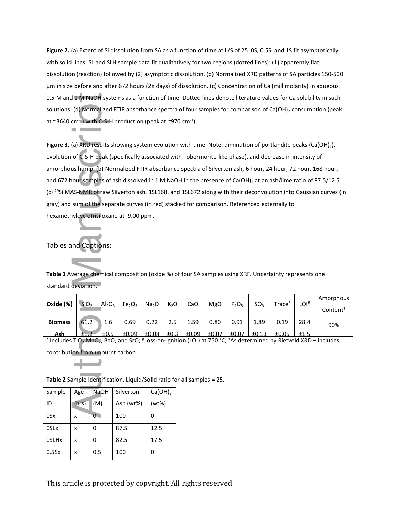**Figure 2.** (a) Extent of Si dissolution from SA as a function of time at L/S of 25. 0S, 0.5S, and 1S fit asymptotically with solid lines. SL and SLH sample data fit qualitatively for two regions (dotted lines): (1) apparently flat dissolution (reaction) followed by (2) asymptotic dissolution. (b) Normalized XRD patterns of SA particles 150-500 μm in size before and after 672 hours (28 days) of dissolution. (c) Concentration of Ca (millimolarity) in aqueous 0.5 M and 1 M NaOH systems as a function of time. Dotted lines denote literature values for Ca solubility in such solutions. (d) Normalized FTIR absorbance spectra of four samples for comparison of Ca(OH)<sub>2</sub> consumption (peak at  $\sim$ 3640 cm<sup>-1</sup>) with C-S-H production (peak at  $\sim$ 970 cm<sup>-1</sup>).

Figure 3. (a) XRD results showing system evolution with time. Note: diminution of portlandite peaks (Ca(OH)<sub>2</sub>), evolution of C-S-H peak (specifically associated with Tobermorite-like phase), and decrease in intensity of amorphous hump. (b) Normalized FTIR absorbance spectra of Silverton ash, 6 hour, 24 hour, 72 hour, 168 hour, and 672 hour samples of ash dissolved in 1 M NaOH in the presence of Ca(OH)<sub>2</sub> at an ash/lime ratio of 87.5/12.5. (c) <sup>29</sup>Si MAS-NMR of raw Silverton ash, 1SL168, and 1SL672 along with their deconvolution into Gaussian curves (in gray) and sum of the separate curves (in red) stacked for comparison. Referenced externally to hexamethylcyclotrisiloxane at -9.00 ppm. 0.5 M and 1 M NaOH systems as a function<br>
solutions. (d) Normalized FTIR absorbanc<br>
at ~3640 cm<sup>+</sup>) with C-S-H production (pe<br> **Figure 3.** (a) XRD results showing system<br>
evolution of C-S-H peak (specifically assoc<br>
amorp

Tables and Captions:

**Table 1** Average chemical composition (oxide %) of four SA samples using XRF. Uncertainty represents one standard deviation.

| Oxide (%)      | SiO <sub>2</sub> | Al <sub>2</sub> O <sub>3</sub> | Fe <sub>2</sub> O <sub>3</sub> | Na <sub>2</sub> O | $K_2O$ | CaO   | <b>MgO</b> | $P_2O_5$ | SO <sub>3</sub> | Trace <sup>*</sup> | LOI <sup>#</sup> | Amorphous<br>Content† |
|----------------|------------------|--------------------------------|--------------------------------|-------------------|--------|-------|------------|----------|-----------------|--------------------|------------------|-----------------------|
| <b>Biomass</b> | 61.2             | 1.6                            | 0.69                           | 0.22              | 2.5    | 1.59  | 0.80       | 0.91     | 1.89            | 0.19               | 28.4             | 90%                   |
| Ash            | ±1.2             | ±0.5                           | ±0.09                          | ±0.08             | ±0.3   | ±0.09 | ±0.07      | ±0.07    | ±0.13           | ±0.05              | ±1.5             |                       |

**Ash** ±1.2 ±0.5 ±0.09 ±0.08 ±0.3 ±0.09 ±0.07 ±0.07 ±0.13 ±0.05 ±1.5 \* Includes TiO2 MnO2, BaO, and SrO; # loss-on-ignition (LOI) at 750 °C; †As determined by Rietveld XRD – includes

contribution from unburnt carbon

**Table 2** Sample identification. Liquid/Solid ratio for all samples = 25.

| Sample | Age   | <b>NaOH</b> | Silverton | Ca(OH) <sub>2</sub> |
|--------|-------|-------------|-----------|---------------------|
| ID     | (hrs) | (M)         | Ash (wt%) | (wt%)               |
| 0Sx    | x     | 0           | 100       | 0                   |
| 0SLx   | x     | 0           | 87.5      | 12.5                |
| 0SLHx  | x     | 0           | 82.5      | 17.5                |
| 0.5Sx  | x     | 0.5         | 100       | 0                   |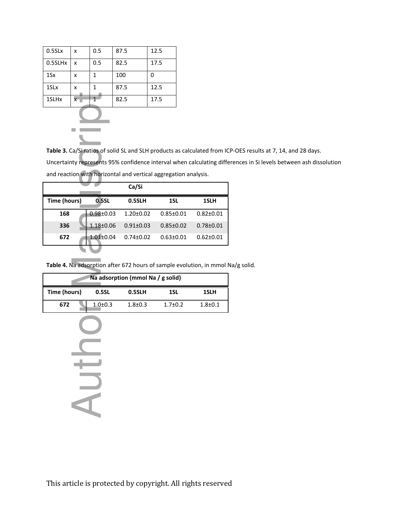| $0.5$ SL $x$      | x                       | 0.5 | 87.5 | 12.5 |
|-------------------|-------------------------|-----|------|------|
| 0.5SLHx           | x                       | 0.5 | 82.5 | 17.5 |
| 1Sx               | x                       | 1   | 100  | ŋ    |
| 1SL <sub>x</sub>  | x                       | 1   | 87.5 | 12.5 |
| 1SLH <sub>x</sub> | $\overline{\mathsf{x}}$ |     | 82.5 | 17.5 |
|                   |                         |     |      |      |



**Table 3.** Ca/Si ratios of solid SL and SLH products as calculated from ICP-OES results at 7, 14, and 28 days. Uncertainty represents 95% confidence interval when calculating differences in Si levels between ash dissolution and reaction with horizontal and vertical aggregation analysis.

| 1SLHx<br>x                                                          |                                                                         | 1                | 82.5                                                            | 17.5            |                                                                      |  |  |  |
|---------------------------------------------------------------------|-------------------------------------------------------------------------|------------------|-----------------------------------------------------------------|-----------------|----------------------------------------------------------------------|--|--|--|
|                                                                     |                                                                         |                  |                                                                 |                 |                                                                      |  |  |  |
|                                                                     |                                                                         |                  |                                                                 |                 |                                                                      |  |  |  |
|                                                                     |                                                                         |                  |                                                                 |                 |                                                                      |  |  |  |
|                                                                     | Table 3. Ca/Si ratios of solid SL and SLH products as calculated from I |                  |                                                                 |                 |                                                                      |  |  |  |
|                                                                     |                                                                         |                  |                                                                 |                 | Uncertainty represents 95% confidence interval when calculating diff |  |  |  |
|                                                                     |                                                                         |                  | and reaction with horizontal and vertical aggregation analysis. |                 |                                                                      |  |  |  |
|                                                                     |                                                                         |                  | Ca/Si                                                           |                 |                                                                      |  |  |  |
| Time (hours)                                                        |                                                                         | 0.5 <sub>5</sub> | 0.5SLH                                                          | 1SL             | 1SLH                                                                 |  |  |  |
| 168                                                                 |                                                                         | $0.98 + 0.03$    | $1.20 \pm 0.02$                                                 | $0.85 \pm 0.01$ | $0.82 \pm 0.01$                                                      |  |  |  |
| 336                                                                 |                                                                         | $1.18 + 0.06$    | $0.91 \pm 0.03$                                                 | $0.85 \pm 0.02$ | $0.78 + 0.01$                                                        |  |  |  |
| 672                                                                 |                                                                         | $1.01 \pm 0.04$  | $0.74 \pm 0.02$                                                 | $0.63 \pm 0.01$ | $0.62 \pm 0.01$                                                      |  |  |  |
|                                                                     |                                                                         |                  |                                                                 |                 |                                                                      |  |  |  |
| Table 4. Na adsorption after 672 hours of sample evolution, in mmol |                                                                         |                  |                                                                 |                 |                                                                      |  |  |  |
|                                                                     |                                                                         |                  |                                                                 |                 |                                                                      |  |  |  |
|                                                                     |                                                                         |                  | Na adsorption (mmol Na / g solid)                               |                 |                                                                      |  |  |  |
| Time (hours)                                                        |                                                                         | 0.5SL            | 0.5SLH                                                          | 1SL             | 1SLH                                                                 |  |  |  |
| 672                                                                 |                                                                         | $1.0 + 0.3$      | $1.8 + 0.3$                                                     | $1.7 + 0.2$     | $1.8 + 0.1$                                                          |  |  |  |
|                                                                     |                                                                         |                  |                                                                 |                 |                                                                      |  |  |  |
|                                                                     |                                                                         |                  |                                                                 |                 |                                                                      |  |  |  |
|                                                                     |                                                                         |                  |                                                                 |                 |                                                                      |  |  |  |
|                                                                     |                                                                         |                  |                                                                 |                 |                                                                      |  |  |  |
|                                                                     |                                                                         |                  |                                                                 |                 |                                                                      |  |  |  |
|                                                                     |                                                                         |                  |                                                                 |                 |                                                                      |  |  |  |
|                                                                     |                                                                         |                  |                                                                 |                 |                                                                      |  |  |  |
|                                                                     |                                                                         |                  |                                                                 |                 |                                                                      |  |  |  |

**Table 4.** Na adsorption after 672 hours of sample evolution, in mmol Na/g solid.

| Na adsorption (mmol Na / g solid) |                 |             |               |             |  |  |  |
|-----------------------------------|-----------------|-------------|---------------|-------------|--|--|--|
| Time (hours)                      | 0.5SLH<br>0.5SL |             | 1SL           | 1SLH        |  |  |  |
| 672                               | $1.0 + 0.3$     | $1.8 + 0.3$ | $1.7 \pm 0.2$ | $1.8 + 0.1$ |  |  |  |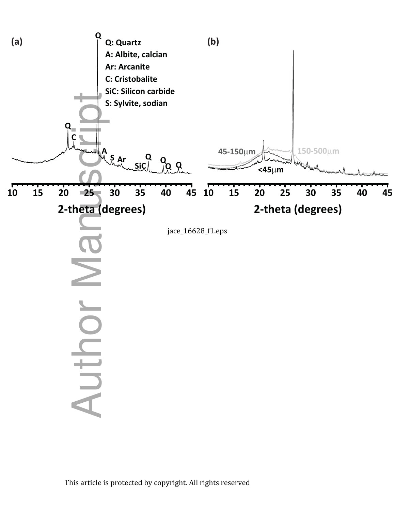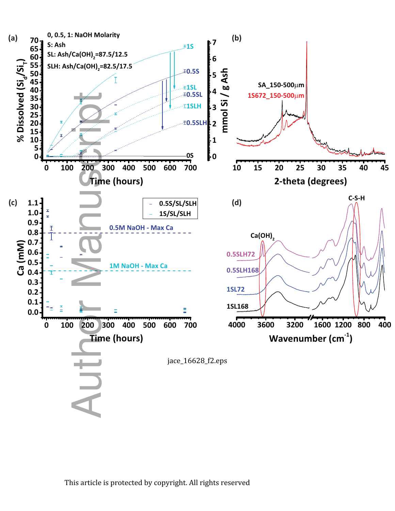